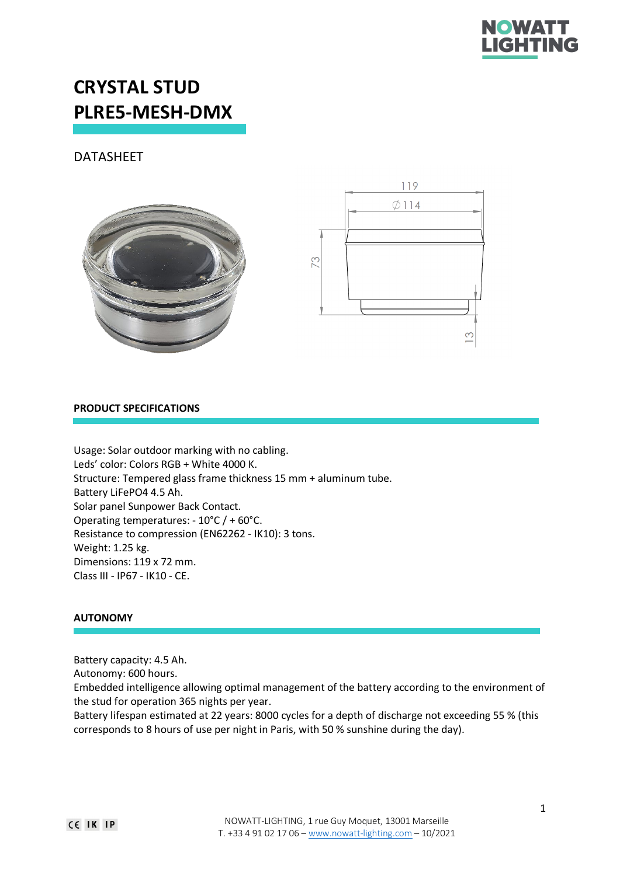

# **CRYSTAL STUD PLRE5-MESH-DMX**

# DATASHEET



## **PRODUCT SPECIFICATIONS**

Usage: Solar outdoor marking with no cabling. Leds' color: Colors RGB + White 4000 K. Structure: Tempered glass frame thickness 15 mm + aluminum tube. Battery LiFePO4 4.5 Ah. Solar panel Sunpower Back Contact. Operating temperatures: - 10°C / + 60°C. Resistance to compression (EN62262 - IK10): 3 tons. Weight: 1.25 kg. Dimensions: 119 x 72 mm. Class III - IP67 - IK10 - CE.

## **AUTONOMY**

Battery capacity: 4.5 Ah.

Autonomy: 600 hours.

Embedded intelligence allowing optimal management of the battery according to the environment of the stud for operation 365 nights per year.

Battery lifespan estimated at 22 years: 8000 cycles for a depth of discharge not exceeding 55 % (this corresponds to 8 hours of use per night in Paris, with 50 % sunshine during the day).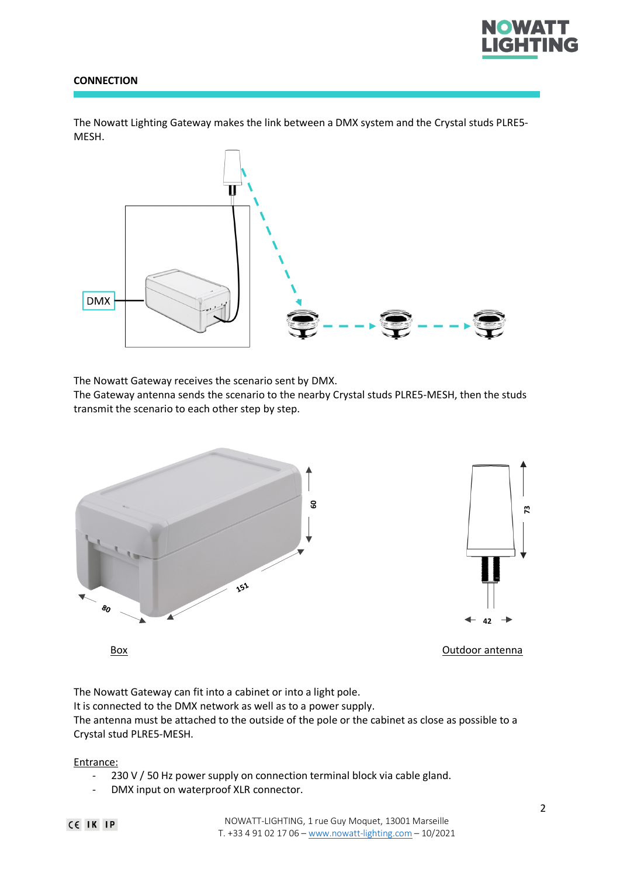

## **CONNECTION**

The Nowatt Lighting Gateway makes the link between a DMX system and the Crystal studs PLRE5- MESH.



The Nowatt Gateway receives the scenario sent by DMX.

The Gateway antenna sends the scenario to the nearby Crystal studs PLRE5-MESH, then the studs transmit the scenario to each other step by step.



The Nowatt Gateway can fit into a cabinet or into a light pole. It is connected to the DMX network as well as to a power supply. The antenna must be attached to the outside of the pole or the cabinet as close as possible to a Crystal stud PLRE5-MESH.

Entrance:

- 230 V / 50 Hz power supply on connection terminal block via cable gland.
- DMX input on waterproof XLR connector.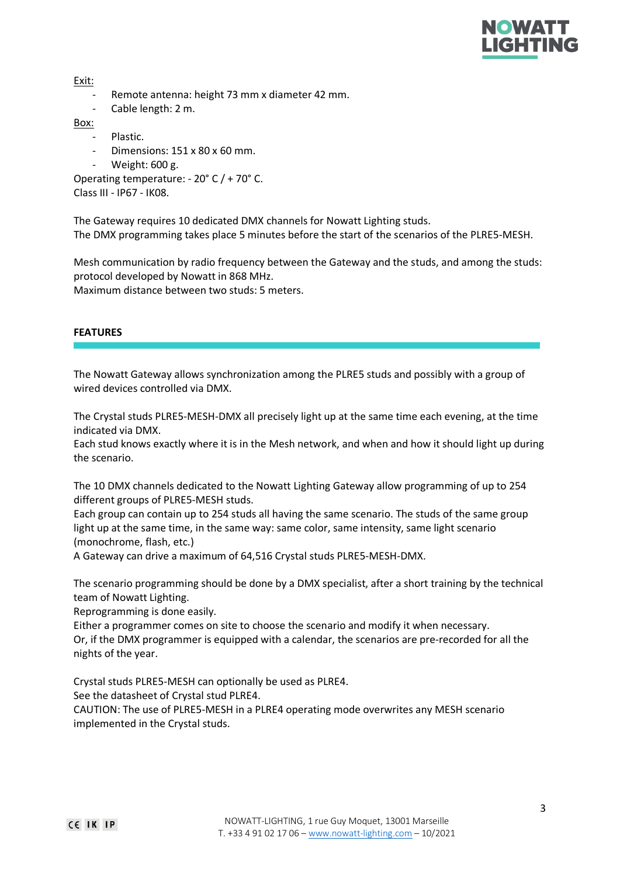

Exit:

- Remote antenna: height 73 mm x diameter 42 mm.
- Cable length: 2 m.

Box:

- Plastic.
- Dimensions: 151 x 80 x 60 mm.
- Weight: 600 g.

Operating temperature: - 20° C / + 70° C. Class III - IP67 - IK08.

The Gateway requires 10 dedicated DMX channels for Nowatt Lighting studs. The DMX programming takes place 5 minutes before the start of the scenarios of the PLRE5-MESH.

Mesh communication by radio frequency between the Gateway and the studs, and among the studs: protocol developed by Nowatt in 868 MHz.

Maximum distance between two studs: 5 meters.

# **FEATURES**

The Nowatt Gateway allows synchronization among the PLRE5 studs and possibly with a group of wired devices controlled via DMX.

The Crystal studs PLRE5-MESH-DMX all precisely light up at the same time each evening, at the time indicated via DMX.

Each stud knows exactly where it is in the Mesh network, and when and how it should light up during the scenario.

The 10 DMX channels dedicated to the Nowatt Lighting Gateway allow programming of up to 254 different groups of PLRE5-MESH studs.

Each group can contain up to 254 studs all having the same scenario. The studs of the same group light up at the same time, in the same way: same color, same intensity, same light scenario (monochrome, flash, etc.)

A Gateway can drive a maximum of 64,516 Crystal studs PLRE5-MESH-DMX.

The scenario programming should be done by a DMX specialist, after a short training by the technical team of Nowatt Lighting.

Reprogramming is done easily.

Either a programmer comes on site to choose the scenario and modify it when necessary. Or, if the DMX programmer is equipped with a calendar, the scenarios are pre-recorded for all the nights of the year.

Crystal studs PLRE5-MESH can optionally be used as PLRE4.

See the datasheet of Crystal stud PLRE4.

CAUTION: The use of PLRE5-MESH in a PLRE4 operating mode overwrites any MESH scenario implemented in the Crystal studs.